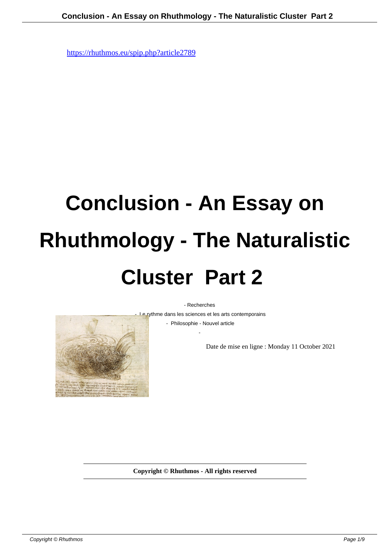## **Conclusion - An Essay on Rhuthmology - The Naturalistic Cluster Part 2**

- Recherches

- Le rythme dans les sciences et les arts contemporains

 - Philosophie - Nouvel article -

Date de mise en ligne : Monday 11 October 2021

**Copyright © Rhuthmos - All rights reserved**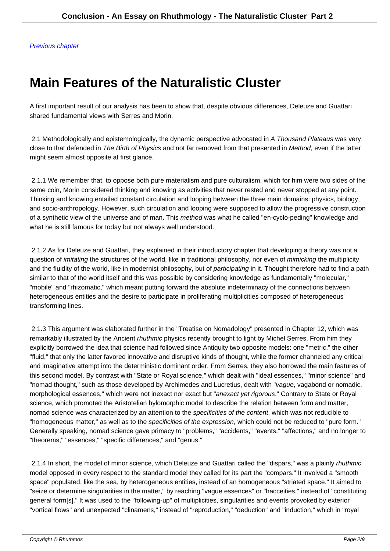## **[Main Fea](https://rhuthmos.eu/spip.php?article2790)tures of the Naturalistic Cluster**

A first important result of our analysis has been to show that, despite obvious differences, Deleuze and Guattari shared fundamental views with Serres and Morin.

2.1 Methodologically and epistemologically, the dynamic perspective advocated in A Thousand Plateaus was very close to that defended in The Birth of Physics and not far removed from that presented in Method, even if the latter might seem almost opposite at first glance.

 2.1.1 We remember that, to oppose both pure materialism and pure culturalism, which for him were two sides of the same coin, Morin considered thinking and knowing as activities that never rested and never stopped at any point. Thinking and knowing entailed constant circulation and looping between the three main domains: physics, biology, and socio-anthropology. However, such circulation and looping were supposed to allow the progressive construction of a synthetic view of the universe and of man. This method was what he called "en-cyclo-peding" knowledge and what he is still famous for today but not always well understood.

 2.1.2 As for Deleuze and Guattari, they explained in their introductory chapter that developing a theory was not a question of *imitating* the structures of the world, like in traditional philosophy, nor even of *mimicking* the multiplicity and the fluidity of the world, like in modernist philosophy, but of *participating* in it. Thought therefore had to find a path similar to that of the world itself and this was possible by considering knowledge as fundamentally "molecular," "mobile" and "rhizomatic," which meant putting forward the absolute indeterminacy of the connections between heterogeneous entities and the desire to participate in proliferating multiplicities composed of heterogeneous transforming lines.

 2.1.3 This argument was elaborated further in the "Treatise on Nomadology" presented in Chapter 12, which was remarkably illustrated by the Ancient rhuthmic physics recently brought to light by Michel Serres. From him they explicitly borrowed the idea that science had followed since Antiquity two opposite models: one "metric," the other "fluid," that only the latter favored innovative and disruptive kinds of thought, while the former channeled any critical and imaginative attempt into the deterministic dominant order. From Serres, they also borrowed the main features of this second model. By contrast with "State or Royal science," which dealt with "ideal essences," "minor science" and "nomad thought," such as those developed by Archimedes and Lucretius, dealt with "vague, vagabond or nomadic, morphological essences," which were not inexact nor exact but "anexact yet rigorous." Contrary to State or Royal science, which promoted the Aristotelian hylomorphic model to describe the relation between form and matter, nomad science was characterized by an attention to the specificities of the content, which was not reducible to "homogeneous matter," as well as to the specificities of the expression, which could not be reduced to "pure form." Generally speaking, nomad science gave primacy to "problems," "accidents," "events," "affections," and no longer to "theorems," "essences," "specific differences," and "genus."

2.1.4 In short, the model of minor science, which Deleuze and Guattari called the "dispars," was a plainly rhuthmic model opposed in every respect to the standard model they called for its part the "compars." It involved a "smooth space" populated, like the sea, by heterogeneous entities, instead of an homogeneous "striated space." It aimed to "seize or determine singularities in the matter," by reaching "vague essences" or "hacceities," instead of "constituting general form[s]." It was used to the "following-up" of multiplicities, singularities and events provoked by exterior "vortical flows" and unexpected "clinamens," instead of "reproduction," "deduction" and "induction," which in "royal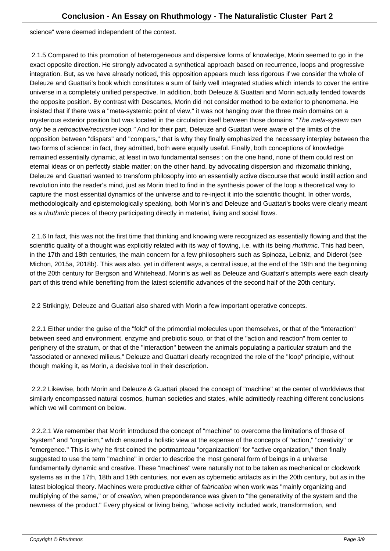science" were deemed independent of the context.

 2.1.5 Compared to this promotion of heterogeneous and dispersive forms of knowledge, Morin seemed to go in the exact opposite direction. He strongly advocated a synthetical approach based on recurrence, loops and progressive integration. But, as we have already noticed, this opposition appears much less rigorous if we consider the whole of Deleuze and Guattari's book which constitutes a sum of fairly well integrated studies which intends to cover the entire universe in a completely unified perspective. In addition, both Deleuze & Guattari and Morin actually tended towards the opposite position. By contrast with Descartes, Morin did not consider method to be exterior to phenomena. He insisted that if there was a "meta-systemic point of view," it was not hanging over the three main domains on a mysterious exterior position but was located in the circulation itself between those domains: "The meta-system can only be a retroactive/recursive loop." And for their part, Deleuze and Guattari were aware of the limits of the opposition between "dispars" and "compars," that is why they finally emphasized the necessary interplay between the two forms of science: in fact, they admitted, both were equally useful. Finally, both conceptions of knowledge remained essentially dynamic, at least in two fundamental senses : on the one hand, none of them could rest on eternal ideas or on perfectly stable matter; on the other hand, by advocating dispersion and rhizomatic thinking, Deleuze and Guattari wanted to transform philosophy into an essentially active discourse that would instill action and revolution into the reader's mind, just as Morin tried to find in the synthesis power of the loop a theoretical way to capture the most essential dynamics of the universe and to re-inject it into the scientific thought. In other words, methodologically and epistemologically speaking, both Morin's and Deleuze and Guattari's books were clearly meant as a rhuthmic pieces of theory participating directly in material, living and social flows.

 2.1.6 In fact, this was not the first time that thinking and knowing were recognized as essentially flowing and that the scientific quality of a thought was explicitly related with its way of flowing, i.e. with its being *rhuthmic*. This had been, in the 17th and 18th centuries, the main concern for a few philosophers such as Spinoza, Leibniz, and Diderot (see Michon, 2015a, 2018b). This was also, yet in different ways, a central issue, at the end of the 19th and the beginning of the 20th century for Bergson and Whitehead. Morin's as well as Deleuze and Guattari's attempts were each clearly part of this trend while benefiting from the latest scientific advances of the second half of the 20th century.

2.2 Strikingly, Deleuze and Guattari also shared with Morin a few important operative concepts.

 2.2.1 Either under the guise of the "fold" of the primordial molecules upon themselves, or that of the "interaction" between seed and environment, enzyme and prebiotic soup, or that of the "action and reaction" from center to periphery of the stratum, or that of the "interaction" between the animals populating a particular stratum and the "associated or annexed milieus," Deleuze and Guattari clearly recognized the role of the "loop" principle, without though making it, as Morin, a decisive tool in their description.

 2.2.2 Likewise, both Morin and Deleuze & Guattari placed the concept of "machine" at the center of worldviews that similarly encompassed natural cosmos, human societies and states, while admittedly reaching different conclusions which we will comment on below.

 2.2.2.1 We remember that Morin introduced the concept of "machine" to overcome the limitations of those of "system" and "organism," which ensured a holistic view at the expense of the concepts of "action," "creativity" or "emergence." This is why he first coined the portmanteau "organizaction" for "active organization," then finally suggested to use the term "machine" in order to describe the most general form of beings in a universe fundamentally dynamic and creative. These "machines" were naturally not to be taken as mechanical or clockwork systems as in the 17th, 18th and 19th centuries, nor even as cybernetic artifacts as in the 20th century, but as in the latest biological theory. Machines were productive either of *fabrication* when work was "mainly organizing and multiplying of the same," or of *creation*, when preponderance was given to "the generativity of the system and the newness of the product." Every physical or living being, "whose activity included work, transformation, and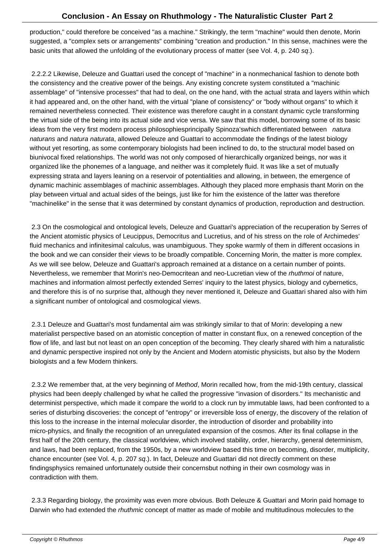production," could therefore be conceived "as a machine." Strikingly, the term "machine" would then denote, Morin suggested, a "complex sets or arrangements" combining "creation and production." In this sense, machines were the basic units that allowed the unfolding of the evolutionary process of matter (see Vol. 4, p. 240 sq.).

 2.2.2.2 Likewise, Deleuze and Guattari used the concept of "machine" in a nonmechanical fashion to denote both the consistency and the creative power of the beings. Any existing concrete system constituted a "machinic assemblage" of "intensive processes" that had to deal, on the one hand, with the actual strata and layers within which it had appeared and, on the other hand, with the virtual "plane of consistency" or "body without organs" to which it remained nevertheless connected. Their existence was therefore caught in a constant dynamic cycle transforming the virtual side of the being into its actual side and vice versa. We saw that this model, borrowing some of its basic ideas from the very first modern process philosophies principally Spinoza's which differentiated between natura naturans and natura naturata, allowed Deleuze and Guattari to accommodate the findings of the latest biology without yet resorting, as some contemporary biologists had been inclined to do, to the structural model based on biunivocal fixed relationships. The world was not only composed of hierarchically organized beings, nor was it organized like the phonemes of a language, and neither was it completely fluid. It was like a set of mutually expressing strata and layers leaning on a reservoir of potentialities and allowing, in between, the emergence of dynamic machinic assemblages of machinic assemblages. Although they placed more emphasis thant Morin on the play between virtual and actual sides of the beings, just like for him the existence of the latter was therefore "machinelike" in the sense that it was determined by constant dynamics of production, reproduction and destruction.

 2.3 On the cosmological and ontological levels, Deleuze and Guattari's appreciation of the recuperation by Serres of the Ancient atomistic physics of Leucippus, Democritus and Lucretius, and of his stress on the role of Archimedes' fluid mechanics and infinitesimal calculus, was unambiguous. They spoke warmly of them in different occasions in the book and we can consider their views to be broadly compatible. Concerning Morin, the matter is more complex. As we will see below, Deleuze and Guattari's approach remained at a distance on a certain number of points. Nevertheless, we remember that Morin's neo-Democritean and neo-Lucretian view of the rhuthmoi of nature, machines and information almost perfectly extended Serres' inquiry to the latest physics, biology and cybernetics, and therefore this is of no surprise that, although they never mentioned it, Deleuze and Guattari shared also with him a significant number of ontological and cosmological views.

 2.3.1 Deleuze and Guattari's most fundamental aim was strikingly similar to that of Morin: developing a new materialist perspective based on an atomistic conception of matter in constant flux, on a renewed conception of the flow of life, and last but not least on an open conception of the becoming. They clearly shared with him a naturalistic and dynamic perspective inspired not only by the Ancient and Modern atomistic physicists, but also by the Modern biologists and a few Modern thinkers.

 2.3.2 We remember that, at the very beginning of Method, Morin recalled how, from the mid-19th century, classical physics had been deeply challenged by what he called the progressive "invasion of disorders." Its mechanistic and determinist perspective, which made it compare the world to a clock run by immutable laws, had been confronted to a series of disturbing discoveries: the concept of "entropy" or irreversible loss of energy, the discovery of the relation of this loss to the increase in the internal molecular disorder, the introduction of disorder and probability into micro-physics, and finally the recognition of an unregulated expansion of the cosmos. After its final collapse in the first half of the 20th century, the classical worldview, which involved stability, order, hierarchy, general determinism, and laws, had been replaced, from the 1950s, by a new worldview based this time on becoming, disorder, multiplicity, chance encounter (see Vol. 4, p. 207 sq.). In fact, Deleuze and Guattari did not directly comment on these findings physics remained unfortunately outside their concerns but nothing in their own cosmology was in contradiction with them.

 2.3.3 Regarding biology, the proximity was even more obvious. Both Deleuze & Guattari and Morin paid homage to Darwin who had extended the rhuthmic concept of matter as made of mobile and multitudinous molecules to the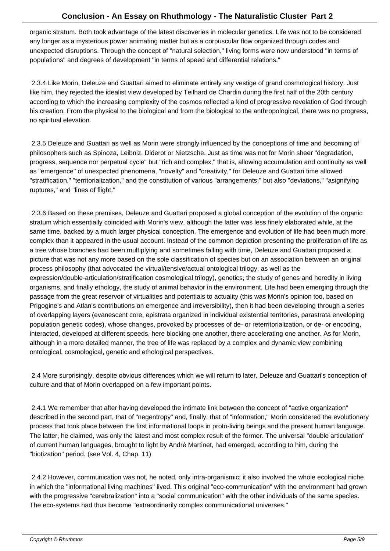organic stratum. Both took advantage of the latest discoveries in molecular genetics. Life was not to be considered any longer as a mysterious power animating matter but as a corpuscular flow organized through codes and unexpected disruptions. Through the concept of "natural selection," living forms were now understood "in terms of populations" and degrees of development "in terms of speed and differential relations."

 2.3.4 Like Morin, Deleuze and Guattari aimed to eliminate entirely any vestige of grand cosmological history. Just like him, they rejected the idealist view developed by Teilhard de Chardin during the first half of the 20th century according to which the increasing complexity of the cosmos reflected a kind of progressive revelation of God through his creation. From the physical to the biological and from the biological to the anthropological, there was no progress, no spiritual elevation.

 2.3.5 Deleuze and Guattari as well as Morin were strongly influenced by the conceptions of time and becoming of philosophers such as Spinoza, Leibniz, Diderot or Nietzsche. Just as time was not for Morin sheer "degradation, progress, sequence nor perpetual cycle" but "rich and complex," that is, allowing accumulation and continuity as well as "emergence" of unexpected phenomena, "novelty" and "creativity," for Deleuze and Guattari time allowed "stratification," "territorialization," and the constitution of various "arrangements," but also "deviations," "asignifying ruptures," and "lines of flight."

 2.3.6 Based on these premises, Deleuze and Guattari proposed a global conception of the evolution of the organic stratum which essentially coincided with Morin's view, although the latter was less finely elaborated while, at the same time, backed by a much larger physical conception. The emergence and evolution of life had been much more complex than it appeared in the usual account. Instead of the common depiction presenting the proliferation of life as a tree whose branches had been multiplying and sometimes falling with time, Deleuze and Guattari proposed a picture that was not any more based on the sole classification of species but on an association between an original process philosophy (that advocated the virtual/tensive/actual ontological trilogy, as well as the expression/double-articulation/stratification cosmological trilogy), genetics, the study of genes and heredity in living organisms, and finally ethology, the study of animal behavior in the environment. Life had been emerging through the passage from the great reservoir of virtualities and potentials to actuality (this was Morin's opinion too, based on Prigogine's and Atlan's contributions on emergence and irreversibility), then it had been developing through a series of overlapping layers (evanescent core, epistrata organized in individual existential territories, parastrata enveloping population genetic codes), whose changes, provoked by processes of de- or reterritorialization, or de- or encoding, interacted, developed at different speeds, here blocking one another, there accelerating one another. As for Morin, although in a more detailed manner, the tree of life was replaced by a complex and dynamic view combining ontological, cosmological, genetic and ethological perspectives.

 2.4 More surprisingly, despite obvious differences which we will return to later, Deleuze and Guattari's conception of culture and that of Morin overlapped on a few important points.

 2.4.1 We remember that after having developed the intimate link between the concept of "active organization" described in the second part, that of "negentropy" and, finally, that of "information," Morin considered the evolutionary process that took place between the first informational loops in proto-living beings and the present human language. The latter, he claimed, was only the latest and most complex result of the former. The universal "double articulation" of current human languages, brought to light by André Martinet, had emerged, according to him, during the "biotization" period. (see Vol. 4, Chap. 11)

 2.4.2 However, communication was not, he noted, only intra-organismic; it also involved the whole ecological niche in which the "informational living machines" lived. This original "eco-communication" with the environment had grown with the progressive "cerebralization" into a "social communication" with the other individuals of the same species. The eco-systems had thus become "extraordinarily complex communicational universes."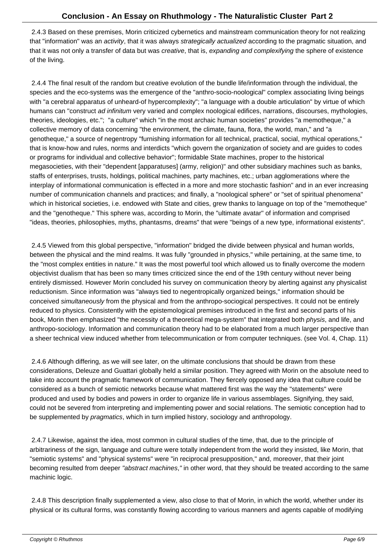2.4.3 Based on these premises, Morin criticized cybernetics and mainstream communication theory for not realizing that "information" was an activity, that it was always strategically actualized according to the pragmatic situation, and that it was not only a transfer of data but was creative, that is, expanding and complexifying the sphere of existence of the living.

 2.4.4 The final result of the random but creative evolution of the bundle life/information through the individual, the species and the eco-systems was the emergence of the "anthro-socio-noological" complex associating living beings with "a cerebral apparatus of unheard-of hypercomplexity"; "a language with a double articulation" by virtue of which humans can "construct ad infinitum very varied and complex noological edifices, narrations, discourses, mythologies, theories, ideologies, etc."; "a culture" which "in the most archaic human societies" provides "a memotheque," a collective memory of data concerning "the environment, the climate, fauna, flora, the world, man," and "a genotheque," a source of negentropy "furnishing information for all technical, practical, social, mythical operations," that is know-how and rules, norms and interdicts "which govern the organization of society and are guides to codes or programs for individual and collective behavior"; formidable State machines, proper to the historical megasocieties, with their "dependent [apparatuses] (army, religion)" and other subsidiary machines such as banks, staffs of enterprises, trusts, holdings, political machines, party machines, etc.; urban agglomerations where the interplay of informational communication is effected in a more and more stochastic fashion" and in an ever increasing number of communication channels and practices; and finally, a "noological sphere" or "set of spiritual phenomena" which in historical societies, i.e. endowed with State and cities, grew thanks to language on top of the "memotheque" and the "genotheque." This sphere was, according to Morin, the "ultimate avatar" of information and comprised "ideas, theories, philosophies, myths, phantasms, dreams" that were "beings of a new type, informational existents".

 2.4.5 Viewed from this global perspective, "information" bridged the divide between physical and human worlds, between the physical and the mind realms. It was fully "grounded in physics," while pertaining, at the same time, to the "most complex entities in nature." It was the most powerful tool which allowed us to finally overcome the modern objectivist dualism that has been so many times criticized since the end of the 19th century without never being entirely dismissed. However Morin concluded his survey on communication theory by alerting against any physicalist reductionism. Since information was "always tied to negentropically organized beings," information should be conceived simultaneously from the physical and from the anthropo-sociogical perspectives. It could not be entirely reduced to physics. Consistently with the epistemological premises introduced in the first and second parts of his book, Morin then emphasized "the necessity of a theoretical mega-system" that integrated both physis, and life, and anthropo-sociology. Information and communication theory had to be elaborated from a much larger perspective than a sheer technical view induced whether from telecommunication or from computer techniques. (see Vol. 4, Chap. 11)

 2.4.6 Although differing, as we will see later, on the ultimate conclusions that should be drawn from these considerations, Deleuze and Guattari globally held a similar position. They agreed with Morin on the absolute need to take into account the pragmatic framework of communication. They fiercely opposed any idea that culture could be considered as a bunch of semiotic networks because what mattered first was the way the "statements" were produced and used by bodies and powers in order to organize life in various assemblages. Signifying, they said, could not be severed from interpreting and implementing power and social relations. The semiotic conception had to be supplemented by *pragmatics*, which in turn implied history, sociology and anthropology.

 2.4.7 Likewise, against the idea, most common in cultural studies of the time, that, due to the principle of arbitrariness of the sign, language and culture were totally independent from the world they insisted, like Morin, that "semiotic systems" and "physical systems" were "in reciprocal presupposition," and, moreover, that their joint becoming resulted from deeper "abstract machines," in other word, that they should be treated according to the same machinic logic.

 2.4.8 This description finally supplemented a view, also close to that of Morin, in which the world, whether under its physical or its cultural forms, was constantly flowing according to various manners and agents capable of modifying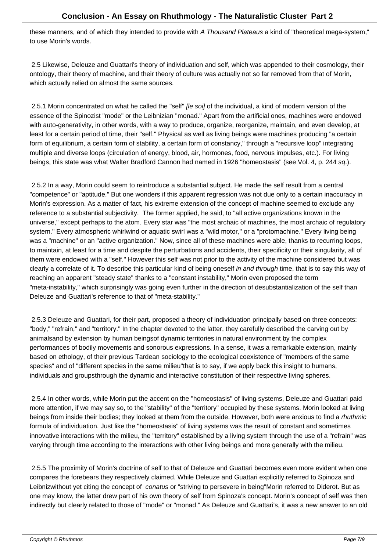$\sigma$  manners, and of which they intended to provide with A *Thousand Plateaus* a kind of "theoretical mega-system," to use Morin's words.

 2.5 Likewise, Deleuze and Guattari's theory of individuation and self, which was appended to their cosmology, their ontology, their theory of machine, and their theory of culture was actually not so far removed from that of Morin, which actually relied on almost the same sources.

2.5.1 Morin concentrated on what he called the "self" *[le soi]* of the individual, a kind of modern version of the essence of the Spinozist "mode" or the Leibnizian "monad." Apart from the artificial ones, machines were endowed with auto-generativity, in other words, with a way to produce, organize, reorganize, maintain, and even develop, at least for a certain period of time, their "self." Physical as well as living beings were machines producing "a certain form of equilibrium, a certain form of stability, a certain form of constancy," through a "recursive loop" integrating multiple and diverse loops (circulation of energy, blood, air, hormones, food, nervous impulses, etc.). For living beings, this state was what Walter Bradford Cannon had named in 1926 "homeostasis" (see Vol. 4, p. 244 sq.).

 2.5.2 In a way, Morin could seem to reintroduce a substantial subject. He made the self result from a central "competence" or "aptitude." But one wonders if this apparent regression was not due only to a certain inaccuracy in Morin's expression. As a matter of fact, his extreme extension of the concept of machine seemed to exclude any reference to a substantial subjectivity. The former applied, he said, to "all active organizations known in the universe," except perhaps to the atom. Every star was "the most archaic of machines, the most archaic of regulatory system." Every atmospheric whirlwind or aquatic swirl was a "wild motor," or a "protomachine." Every living being was a "machine" or an "active organization." Now, since all of these machines were able, thanks to recurring loops, to maintain, at least for a time and despite the perturbations and accidents, their specificity or their singularity, all of them were endowed with a "self." However this self was not prior to the activity of the machine considered but was clearly a correlate of it. To describe this particular kind of being oneself in and through time, that is to say this way of reaching an apparent "steady state" thanks to a "constant instability," Morin even proposed the term "meta-instability," which surprisingly was going even further in the direction of desubstantialization of the self than Deleuze and Guattari's reference to that of "meta-stability."

 2.5.3 Deleuze and Guattari, for their part, proposed a theory of individuation principally based on three concepts: "body," "refrain," and "territory." In the chapter devoted to the latter, they carefully described the carving out by animals and by extension by human beings of dynamic territories in natural environment by the complex performances of bodily movements and sonorous expressions. In a sense, it was a remarkable extension, mainly based on ethology, of their previous Tardean sociology to the ecological coexistence of "members of the same species" and of "different species in the same milieu" that is to say, if we apply back this insight to humans, individuals and groups through the dynamic and interactive constitution of their respective living spheres.

 2.5.4 In other words, while Morin put the accent on the "homeostasis" of living systems, Deleuze and Guattari paid more attention, if we may say so, to the "stability" of the "territory" occupied by these systems. Morin looked at living beings from inside their bodies; they looked at them from the outside. However, both were anxious to find a rhuthmic formula of individuation. Just like the "homeostasis" of living systems was the result of constant and sometimes innovative interactions with the milieu, the "territory" established by a living system through the use of a "refrain" was varying through time according to the interactions with other living beings and more generally with the milieu.

 2.5.5 The proximity of Morin's doctrine of self to that of Deleuze and Guattari becomes even more evident when one compares the forebears they respectively claimed. While Deleuze and Guattari explicitly referred to Spinoza and Leibniz without yet citing the concept of conatus or "striving to persevere in being" Morin referred to Diderot. But as one may know, the latter drew part of his own theory of self from Spinoza's concept. Morin's concept of self was then indirectly but clearly related to those of "mode" or "monad." As Deleuze and Guattari's, it was a new answer to an old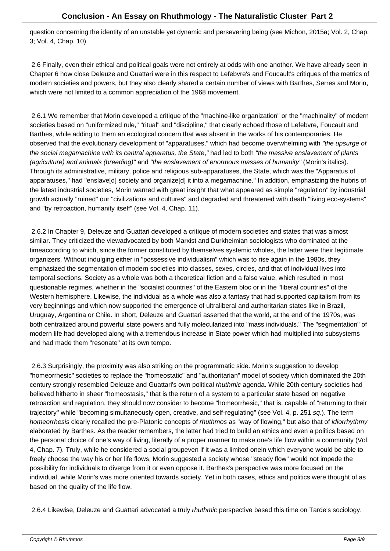question concerning the identity of an unstable yet dynamic and persevering being (see Michon, 2015a; Vol. 2, Chap. 3; Vol. 4, Chap. 10).

 2.6 Finally, even their ethical and political goals were not entirely at odds with one another. We have already seen in Chapter 6 how close Deleuze and Guattari were in this respect to Lefebvre's and Foucault's critiques of the metrics of modern societies and powers, but they also clearly shared a certain number of views with Barthes, Serres and Morin, which were not limited to a common appreciation of the 1968 movement.

 2.6.1 We remember that Morin developed a critique of the "machine-like organization" or the "machinality" of modern societies based on "uniformized rule," "ritual" and "discipline," that clearly echoed those of Lefebvre, Foucault and Barthes, while adding to them an ecological concern that was absent in the works of his contemporaries. He observed that the evolutionary development of "apparatuses," which had become overwhelming with "the upsurge of the social megamachine with its central apparatus, the State," had led to both "the massive enslavement of plants (agriculture) and animals (breeding)" and "the enslavement of enormous masses of humanity" (Morin's italics). Through its administrative, military, police and religious sub-apparatuses, the State, which was the "Apparatus of apparatuses," had "enslave[d] society and organize[d] it into a megamachine." In addition, emphasizing the hubris of the latest industrial societies, Morin warned with great insight that what appeared as simple "regulation" by industrial growth actually "ruined" our "civilizations and cultures" and degraded and threatened with death "living eco-systems" and "by retroaction, humanity itself" (see Vol. 4, Chap. 11).

 2.6.2 In Chapter 9, Deleuze and Guattari developed a critique of modern societies and states that was almost similar. They criticized the view advocated by both Marxist and Durkheimian sociologists who dominated at the time according to which, since the former constituted by themselves systemic wholes, the latter were their legitimate organizers. Without indulging either in "possessive individualism" which was to rise again in the 1980s, they emphasized the segmentation of modern societies into classes, sexes, circles, and that of individual lives into temporal sections. Society as a whole was both a theoretical fiction and a false value, which resulted in most questionable regimes, whether in the "socialist countries" of the Eastern bloc or in the "liberal countries" of the Western hemisphere. Likewise, the individual as a whole was also a fantasy that had supported capitalism from its very beginnings and which now supported the emergence of ultraliberal and authoritarian states like in Brazil, Uruguay, Argentina or Chile. In short, Deleuze and Guattari asserted that the world, at the end of the 1970s, was both centralized around powerful state powers and fully molecularized into "mass individuals." The "segmentation" of modern life had developed along with a tremendous increase in State power which had multiplied into subsystems and had made them "resonate" at its own tempo.

 2.6.3 Surprisingly, the proximity was also striking on the programmatic side. Morin's suggestion to develop "homeorrhesic" societies to replace the "homeostatic" and "authoritarian" model of society which dominated the 20th century strongly resembled Deleuze and Guattari's own political rhuthmic agenda. While 20th century societies had believed hitherto in sheer "homeostasis," that is the return of a system to a particular state based on negative retroaction and regulation, they should now consider to become "homeorrhesic," that is, capable of "returning to their trajectory" while "becoming simultaneously open, creative, and self-regulating" (see Vol. 4, p. 251 sq.). The term homeorrhesis clearly recalled the pre-Platonic concepts of rhuthmos as "way of flowing," but also that of idiorrhythmy elaborated by Barthes. As the reader remembers, the latter had tried to build an ethics and even a politics based on the personal choice of one's way of living, literally of a proper manner to make one's life flow within a community (Vol. 4, Chap. 7). Truly, while he considered a social group even if it was a limited one in which everyone would be able to freely choose the way his or her life flows, Morin suggested a society whose "steady flow" would not impede the possibility for individuals to diverge from it or even oppose it. Barthes's perspective was more focused on the individual, while Morin's was more oriented towards society. Yet in both cases, ethics and politics were thought of as based on the quality of the life flow.

2.6.4 Likewise, Deleuze and Guattari advocated a truly *rhuthmic* perspective based this time on Tarde's sociology.